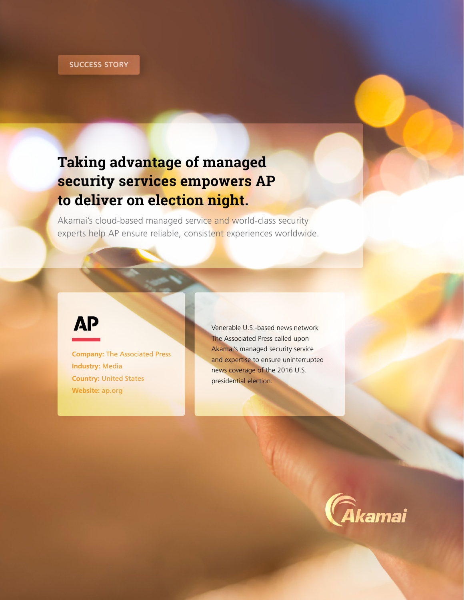# **Taking advantage of managed** security services empowers AP to deliver on election night.

Akamai's cloud-based managed service and world-class security experts help AP ensure reliable, consistent experiences worldwide.

# **AP**

**Company: The Associated Press Industry: Media Country: United States** Website: ap.org

Venerable U.S.-based news network The Associated Press called upon Akamai's managed security service and expertise to ensure uninterrupted news coverage of the 2016 U.S. presidential election.

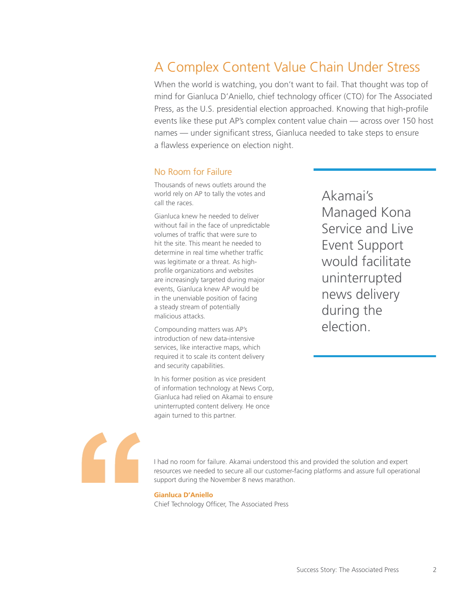# A Complex Content Value Chain Under Stress

When the world is watching, you don't want to fail. That thought was top of mind for Gianluca D'Aniello, chief technology officer (CTO) for The Associated Press, as the U.S. presidential election approached. Knowing that high-profile events like these put AP's complex content value chain — across over 150 host names — under significant stress, Gianluca needed to take steps to ensure a flawless experience on election night.

## No Room for Failure

Thousands of news outlets around the world rely on AP to tally the votes and call the races.

Gianluca knew he needed to deliver without fail in the face of unpredictable volumes of traffic that were sure to hit the site. This meant he needed to determine in real time whether traffic was legitimate or a threat. As highprofile organizations and websites are increasingly targeted during major events, Gianluca knew AP would be in the unenviable position of facing a steady stream of potentially malicious attacks.

Compounding matters was AP's introduction of new data-intensive services, like interactive maps, which required it to scale its content delivery and security capabilities.

In his former position as vice president of information technology at News Corp, Gianluca had relied on Akamai to ensure uninterrupted content delivery. He once again turned to this partner.

Akamai's Managed Kona Service and Live Event Support would facilitate uninterrupted news delivery during the election.



I had no room for failure. Akamai understood this and provided the solution and expert resources we needed to secure all our customer-facing platforms and assure full operational support during the November 8 news marathon.

#### **Gianluca D'Aniello**

Chief Technology Officer, The Associated Press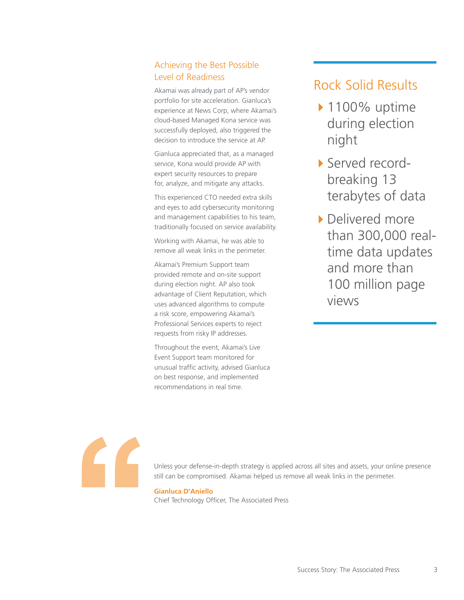## Achieving the Best Possible Level of Readiness

Akamai was already part of AP's vendor portfolio for site acceleration. Gianluca's experience at News Corp, where Akamai's cloud-based Managed Kona service was successfully deployed, also triggered the decision to introduce the service at AP.

Gianluca appreciated that, as a managed service, Kona would provide AP with expert security resources to prepare for, analyze, and mitigate any attacks.

This experienced CTO needed extra skills and eyes to add cybersecurity monitoring and management capabilities to his team, traditionally focused on service availability.

Working with Akamai, he was able to remove all weak links in the perimeter.

Akamai's Premium Support team provided remote and on-site support during election night. AP also took advantage of Client Reputation, which uses advanced algorithms to compute a risk score, empowering Akamai's Professional Services experts to reject requests from risky IP addresses.

Throughout the event, Akamai's Live Event Support team monitored for unusual traffic activity, advised Gianluca on best response, and implemented recommendations in real time.

# Rock Solid Results

- ▶ 1100% uptime during election night
- 4Served recordbreaking 13 terabytes of data
- ▶ Delivered more than 300,000 realtime data updates and more than 100 million page views



Unless your defense-in-depth strategy is applied across all sites and assets, your online presence still can be compromised. Akamai helped us remove all weak links in the perimeter.

### **Gianluca D'Aniello**

Chief Technology Officer, The Associated Press